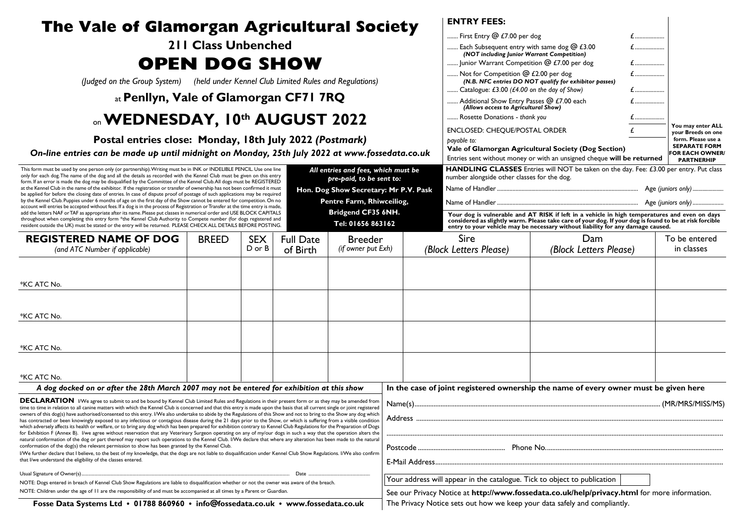| The Vale of Glamorgan Agricultural Society<br><b>211 Class Unbenched</b><br><b>OPEN DOG SHOW</b><br>(Judged on the Group System) (held under Kennel Club Limited Rules and Regulations)                                                                                                                                                                                                                                                                                                                                                                                                                                                                                                                       |              |            |          |                    |  |                                                                                              | <b>ENTRY FEES:</b>                                                                                                                                                                                                                                                                                                                                                              |                                                                                      |           |                                                |  |
|---------------------------------------------------------------------------------------------------------------------------------------------------------------------------------------------------------------------------------------------------------------------------------------------------------------------------------------------------------------------------------------------------------------------------------------------------------------------------------------------------------------------------------------------------------------------------------------------------------------------------------------------------------------------------------------------------------------|--------------|------------|----------|--------------------|--|----------------------------------------------------------------------------------------------|---------------------------------------------------------------------------------------------------------------------------------------------------------------------------------------------------------------------------------------------------------------------------------------------------------------------------------------------------------------------------------|--------------------------------------------------------------------------------------|-----------|------------------------------------------------|--|
|                                                                                                                                                                                                                                                                                                                                                                                                                                                                                                                                                                                                                                                                                                               |              |            |          |                    |  |                                                                                              | First Entry @ £7.00 per dog                                                                                                                                                                                                                                                                                                                                                     |                                                                                      | $f$       |                                                |  |
|                                                                                                                                                                                                                                                                                                                                                                                                                                                                                                                                                                                                                                                                                                               |              |            |          |                    |  |                                                                                              | Each Subsequent entry with same dog @ £3.00<br>(NOT including Junior Warrant Competition)<br>Junior Warrant Competition @ £7.00 per dog<br>Not for Competition @ £2.00 per dog<br>(N.B. NFC entries DO NOT qualify for exhibitor passes)<br>Catalogue: £3.00 ( $£4.00$ on the day of Show)<br>Additional Show Entry Passes @ £7.00 each<br>(Allows access to Agricultural Show) |                                                                                      | $f$       |                                                |  |
|                                                                                                                                                                                                                                                                                                                                                                                                                                                                                                                                                                                                                                                                                                               |              |            |          |                    |  |                                                                                              |                                                                                                                                                                                                                                                                                                                                                                                 |                                                                                      | $f$       |                                                |  |
|                                                                                                                                                                                                                                                                                                                                                                                                                                                                                                                                                                                                                                                                                                               |              |            |          |                    |  |                                                                                              |                                                                                                                                                                                                                                                                                                                                                                                 |                                                                                      | $\pounds$ |                                                |  |
| at Penllyn, Vale of Glamorgan CF71 7RQ                                                                                                                                                                                                                                                                                                                                                                                                                                                                                                                                                                                                                                                                        |              |            |          |                    |  |                                                                                              |                                                                                                                                                                                                                                                                                                                                                                                 |                                                                                      | $f$       |                                                |  |
| on WEDNESDAY, 10th AUGUST 2022<br>Postal entries close: Monday, 18th July 2022 (Postmark)<br>On-line entries can be made up until midnight on Monday, 25th July 2022 at www.fossedata.co.uk<br>All entries and fees, which must be<br>This form must be used by one person only (or partnership). Writing must be in INK or INDELIBLE PENCIL. Use one line                                                                                                                                                                                                                                                                                                                                                    |              |            |          |                    |  |                                                                                              |                                                                                                                                                                                                                                                                                                                                                                                 |                                                                                      |           |                                                |  |
|                                                                                                                                                                                                                                                                                                                                                                                                                                                                                                                                                                                                                                                                                                               |              |            |          |                    |  |                                                                                              | Rosette Donations - thank you                                                                                                                                                                                                                                                                                                                                                   |                                                                                      |           | You may enter ALL                              |  |
|                                                                                                                                                                                                                                                                                                                                                                                                                                                                                                                                                                                                                                                                                                               |              |            |          |                    |  |                                                                                              | ENCLOSED: CHEQUE/POSTAL ORDER<br>bavable to:                                                                                                                                                                                                                                                                                                                                    |                                                                                      |           | vour Breeds on one<br>form. Please use a       |  |
|                                                                                                                                                                                                                                                                                                                                                                                                                                                                                                                                                                                                                                                                                                               |              |            |          |                    |  | Vale of Glamorgan Agricultural Society (Dog Section)                                         |                                                                                                                                                                                                                                                                                                                                                                                 |                                                                                      |           | <b>SEPARATE FORM</b><br><b>FOR EACH OWNER/</b> |  |
|                                                                                                                                                                                                                                                                                                                                                                                                                                                                                                                                                                                                                                                                                                               |              |            |          |                    |  |                                                                                              | Entries sent without money or with an unsigned cheque will be returned<br>HANDLING CLASSES Entries will NOT be taken on the day. Fee: £3.00 per entry. Put class                                                                                                                                                                                                                | <b>PARTNERHIP</b>                                                                    |           |                                                |  |
| only for each dog. The name of the dog and all the details as recorded with the Kennel Club must be given on this entry<br>pre-paid, to be sent to:<br>form. If an error is made the dog may be disqualified by the Committee of the Kennel Club. All dogs must be REGISTERED                                                                                                                                                                                                                                                                                                                                                                                                                                 |              |            |          |                    |  |                                                                                              | number alongside other classes for the dog.                                                                                                                                                                                                                                                                                                                                     |                                                                                      |           |                                                |  |
| at the Kennel Club in the name of the exhibitor. If the registration or transfer of ownership has not been confirmed it must<br>Hon. Dog Show Secretary: Mr P.V. Pask<br>be applied for before the closing date of entries. In case of dispute proof of postage of such applications may be required<br>by the Kennel Club. Puppies under 6 months of age on the first day of the Show cannot be entered for competition. On no<br>Pentre Farm, Rhiwceiliog,<br>account will entries be accepted without fees. If a dog is in the process of Registration or Transfer at the time entry is made,                                                                                                              |              |            |          |                    |  |                                                                                              |                                                                                                                                                                                                                                                                                                                                                                                 |                                                                                      |           |                                                |  |
|                                                                                                                                                                                                                                                                                                                                                                                                                                                                                                                                                                                                                                                                                                               |              |            |          |                    |  |                                                                                              |                                                                                                                                                                                                                                                                                                                                                                                 |                                                                                      |           |                                                |  |
| Bridgend CF35 6NH.<br>add the letters NAF or TAF as appropriate after its name. Please put classes in numerical order and USE BLOCK CAPITALS<br>throughout when completing this entry form *the Kennel Club Authority to Compete number (for dogs registered and<br>Tel: 01656 863162<br>resident outside the UK) must be stated or the entry will be returned. PLEASE CHECK ALL DETAILS BEFORE POSTING.                                                                                                                                                                                                                                                                                                      |              |            |          |                    |  |                                                                                              | Your dog is vulnerable and AT RISK if left in a vehicle in high temperatures and even on days<br>considered as slightly warm. Please take care of your dog. If your dog is found to be at risk forcible<br>entry to your vehicle may be necessary without liability for any damage caused.                                                                                      |                                                                                      |           |                                                |  |
| <b>REGISTERED NAME OF DOG</b>                                                                                                                                                                                                                                                                                                                                                                                                                                                                                                                                                                                                                                                                                 | <b>BREED</b> | <b>SEX</b> |          | <b>Breeder</b>     |  |                                                                                              | Sire                                                                                                                                                                                                                                                                                                                                                                            | Dam                                                                                  |           | To be entered                                  |  |
| (and ATC Number if applicable)                                                                                                                                                                                                                                                                                                                                                                                                                                                                                                                                                                                                                                                                                | D or B       |            | of Birth | (if owner put Exh) |  |                                                                                              | (Block Letters Please)<br>(Block Letters Please)                                                                                                                                                                                                                                                                                                                                |                                                                                      |           | in classes                                     |  |
|                                                                                                                                                                                                                                                                                                                                                                                                                                                                                                                                                                                                                                                                                                               |              |            |          |                    |  |                                                                                              |                                                                                                                                                                                                                                                                                                                                                                                 |                                                                                      |           |                                                |  |
| *KC ATC No.                                                                                                                                                                                                                                                                                                                                                                                                                                                                                                                                                                                                                                                                                                   |              |            |          |                    |  |                                                                                              |                                                                                                                                                                                                                                                                                                                                                                                 |                                                                                      |           |                                                |  |
|                                                                                                                                                                                                                                                                                                                                                                                                                                                                                                                                                                                                                                                                                                               |              |            |          |                    |  |                                                                                              |                                                                                                                                                                                                                                                                                                                                                                                 |                                                                                      |           |                                                |  |
| *KC ATC No.                                                                                                                                                                                                                                                                                                                                                                                                                                                                                                                                                                                                                                                                                                   |              |            |          |                    |  |                                                                                              |                                                                                                                                                                                                                                                                                                                                                                                 |                                                                                      |           |                                                |  |
|                                                                                                                                                                                                                                                                                                                                                                                                                                                                                                                                                                                                                                                                                                               |              |            |          |                    |  |                                                                                              |                                                                                                                                                                                                                                                                                                                                                                                 |                                                                                      |           |                                                |  |
|                                                                                                                                                                                                                                                                                                                                                                                                                                                                                                                                                                                                                                                                                                               |              |            |          |                    |  |                                                                                              |                                                                                                                                                                                                                                                                                                                                                                                 |                                                                                      |           |                                                |  |
| *KC ATC No.                                                                                                                                                                                                                                                                                                                                                                                                                                                                                                                                                                                                                                                                                                   |              |            |          |                    |  |                                                                                              |                                                                                                                                                                                                                                                                                                                                                                                 |                                                                                      |           |                                                |  |
|                                                                                                                                                                                                                                                                                                                                                                                                                                                                                                                                                                                                                                                                                                               |              |            |          |                    |  |                                                                                              |                                                                                                                                                                                                                                                                                                                                                                                 |                                                                                      |           |                                                |  |
| *KC ATC No.<br>A dog docked on or after the 28th March 2007 may not be entered for exhibition at this show                                                                                                                                                                                                                                                                                                                                                                                                                                                                                                                                                                                                    |              |            |          |                    |  |                                                                                              |                                                                                                                                                                                                                                                                                                                                                                                 | In the case of joint registered ownership the name of every owner must be given here |           |                                                |  |
| <b>DECLARATION</b> I/We agree to submit to and be bound by Kennel Club Limited Rules and Regulations in their present form or as they may be amended from                                                                                                                                                                                                                                                                                                                                                                                                                                                                                                                                                     |              |            |          |                    |  |                                                                                              |                                                                                                                                                                                                                                                                                                                                                                                 |                                                                                      |           |                                                |  |
| time to time in relation to all canine matters with which the Kennel Club is concerned and that this entry is made upon the basis that all current single or joint registered<br>owners of this dog(s) have authorised/consented to this entry. I/We also undertake to abide by the Regulations of this Show and not to bring to the Show any dog which<br>has contracted or been knowingly exposed to any infectious or contagious disease during the 21 days prior to the Show, or which is suffering from a visible condition<br>which adversely affects its health or welfare, or to bring any dog which has been prepared for exhibition contrary to Kennel Club Regulations for the Preparation of Dogs |              |            |          |                    |  |                                                                                              |                                                                                                                                                                                                                                                                                                                                                                                 |                                                                                      |           |                                                |  |
|                                                                                                                                                                                                                                                                                                                                                                                                                                                                                                                                                                                                                                                                                                               |              |            |          |                    |  |                                                                                              |                                                                                                                                                                                                                                                                                                                                                                                 |                                                                                      |           |                                                |  |
| for Exhibition F (Annex B). I/we agree without reservation that any Veterinary Surgeon operating on any of my/our dogs in such a way that the operation alters the<br>natural conformation of the dog or part thereof may report such operations to the Kennel Club. I/We declare that where any alteration has been made to the natural                                                                                                                                                                                                                                                                                                                                                                      |              |            |          |                    |  |                                                                                              |                                                                                                                                                                                                                                                                                                                                                                                 |                                                                                      |           |                                                |  |
| conformation of the dog(s) the relevant permission to show has been granted by the Kennel Club.<br>I/We further declare that I believe, to the best of my knowledge, that the dogs are not liable to disqualification under Kennel Club Show Regulations. I/We also confirm<br>that I/we understand the eligibility of the classes entered.                                                                                                                                                                                                                                                                                                                                                                   |              |            |          |                    |  |                                                                                              |                                                                                                                                                                                                                                                                                                                                                                                 |                                                                                      |           |                                                |  |
| Date<br>Usual Signature of Owner(s)                                                                                                                                                                                                                                                                                                                                                                                                                                                                                                                                                                                                                                                                           |              |            |          |                    |  |                                                                                              |                                                                                                                                                                                                                                                                                                                                                                                 |                                                                                      |           |                                                |  |
| NOTE: Dogs entered in breach of Kennel Club Show Regulations are liable to disqualification whether or not the owner was aware of the breach.                                                                                                                                                                                                                                                                                                                                                                                                                                                                                                                                                                 |              |            |          |                    |  | Your address will appear in the catalogue. Tick to object to publication                     |                                                                                                                                                                                                                                                                                                                                                                                 |                                                                                      |           |                                                |  |
| NOTE: Children under the age of 11 are the responsibility of and must be accompanied at all times by a Parent or Guardian.                                                                                                                                                                                                                                                                                                                                                                                                                                                                                                                                                                                    |              |            |          |                    |  | See our Privacy Notice at http://www.fossedata.co.uk/help/privacy.html for more information. |                                                                                                                                                                                                                                                                                                                                                                                 |                                                                                      |           |                                                |  |
| Fosse Data Systems Ltd · 01788 860960 · info@fossedata.co.uk · www.fossedata.co.uk                                                                                                                                                                                                                                                                                                                                                                                                                                                                                                                                                                                                                            |              |            |          |                    |  | The Privacy Notice sets out how we keep your data safely and compliantly.                    |                                                                                                                                                                                                                                                                                                                                                                                 |                                                                                      |           |                                                |  |